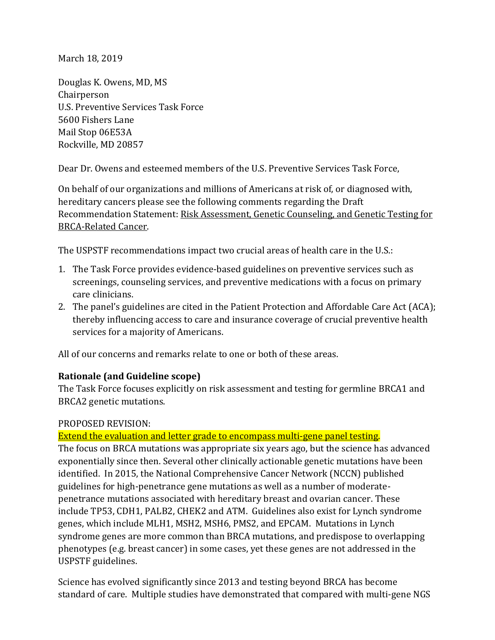March 18, 2019

Douglas K. Owens, MD, MS Chairperson U.S. Preventive Services Task Force 5600 Fishers Lane Mail Stop 06E53A Rockville, MD 20857

Dear Dr. Owens and esteemed members of the U.S. Preventive Services Task Force,

On behalf of our organizations and millions of Americans at risk of, or diagnosed with, hereditary cancers please see the following comments regarding the Draft Recommendation Statement: [Risk Assessment, Genetic Counseling, and Genetic Testing for](https://www.uspreventiveservicestaskforce.org/Page/Document/draft-recommendation-statement/brca-related-cancer-risk-assessment-genetic-counseling-and-genetic-testing1)  [BRCA-Related Cancer.](https://www.uspreventiveservicestaskforce.org/Page/Document/draft-recommendation-statement/brca-related-cancer-risk-assessment-genetic-counseling-and-genetic-testing1)

The USPSTF recommendations impact two crucial areas of health care in the U.S.:

- 1. The Task Force provides evidence-based guidelines on preventive services such as screenings, counseling services, and preventive medications with a focus on primary care clinicians.
- 2. The panel's guidelines are cited in the Patient Protection and Affordable Care Act (ACA); thereby influencing access to care and insurance coverage of crucial preventive health services for a majority of Americans.

All of our concerns and remarks relate to one or both of these areas.

### **Rationale (and Guideline scope)**

The Task Force focuses explicitly on risk assessment and testing for germline BRCA1 and BRCA2 genetic mutations.

#### PROPOSED REVISION:

### Extend the evaluation and letter grade to encompass multi-gene panel testing.

The focus on BRCA mutations was appropriate six years ago, but the science has advanced exponentially since then. Several other clinically actionable genetic mutations have been identified. In 2015, the National Comprehensive Cancer Network (NCCN) published guidelines for high-penetrance gene mutations as well as a number of moderatepenetrance mutations associated with hereditary breast and ovarian cancer. These include TP53, CDH1, PALB2, CHEK2 and ATM. Guidelines also exist for Lynch syndrome genes, which include MLH1, MSH2, MSH6, PMS2, and EPCAM. Mutations in Lynch syndrome genes are more common than BRCA mutations, and predispose to overlapping phenotypes (e.g. breast cancer) in some cases, yet these genes are not addressed in the USPSTF guidelines.

Science has evolved significantly since 2013 and testing beyond BRCA has become standard of care. Multiple studies have demonstrated that compared with multi-gene NGS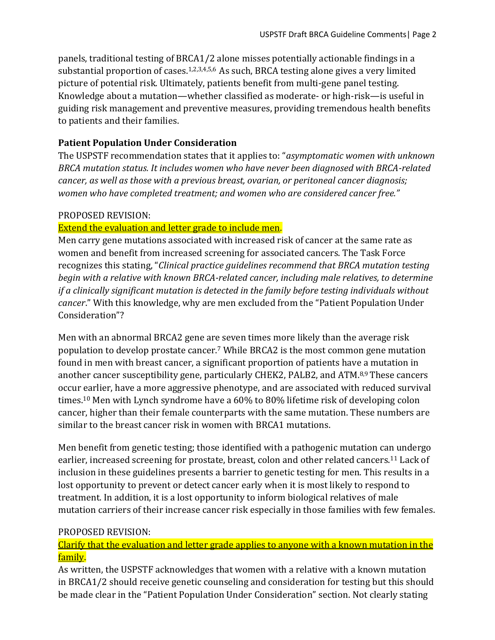panels, traditional testing of BRCA1/2 alone misses potentially actionable findings in a substantial proportion of cases.<sup>1,2,3,4,5,6</sup> As such, BRCA testing alone gives a very limited picture of potential risk. Ultimately, patients benefit from multi-gene panel testing. Knowledge about a mutation—whether classified as moderate- or high-risk—is useful in guiding risk management and preventive measures, providing tremendous health benefits to patients and their families.

## **Patient Population Under Consideration**

The USPSTF recommendation states that it applies to: "*asymptomatic women with unknown BRCA mutation status. It includes women who have never been diagnosed with BRCA-related cancer, as well as those with a previous breast, ovarian, or peritoneal cancer diagnosis; women who have completed treatment; and women who are considered cancer free."*

### PROPOSED REVISION:

### Extend the evaluation and letter grade to include men.

Men carry gene mutations associated with increased risk of cancer at the same rate as women and benefit from increased screening for associated cancers. The Task Force recognizes this stating, "*Clinical practice guidelines recommend that BRCA mutation testing begin with a relative with known BRCA-related cancer, including male relatives, to determine if a clinically significant mutation is detected in the family before testing individuals without cancer*." With this knowledge, why are men excluded from the "Patient Population Under Consideration"?

Men with an abnormal BRCA2 gene are seven times more likely than the average risk population to develop prostate cancer.<sup>7</sup> While BRCA2 is the most common gene mutation found in men with breast cancer, a significant proportion of patients have a mutation in another cancer susceptibility gene, particularly CHEK2, PALB2, and ATM.8,9 These cancers occur earlier, have a more aggressive phenotype, and are associated with reduced survival times.<sup>10</sup> Men with Lynch syndrome have a 60% to 80% lifetime risk of developing colon cancer, higher than their female counterparts with the same mutation. These numbers are similar to the breast cancer risk in women with BRCA1 mutations.

Men benefit from genetic testing; those identified with a pathogenic mutation can undergo earlier, increased screening for prostate, breast, colon and other related cancers.<sup>11</sup> Lack of inclusion in these guidelines presents a barrier to genetic testing for men. This results in a lost opportunity to prevent or detect cancer early when it is most likely to respond to treatment. In addition, it is a lost opportunity to inform biological relatives of male mutation carriers of their increase cancer risk especially in those families with few females.

### PROPOSED REVISION:

### Clarify that the evaluation and letter grade applies to anyone with a known mutation in the family.

As written, the USPSTF acknowledges that women with a relative with a known mutation in BRCA1/2 should receive genetic counseling and consideration for testing but this should be made clear in the "Patient Population Under Consideration" section. Not clearly stating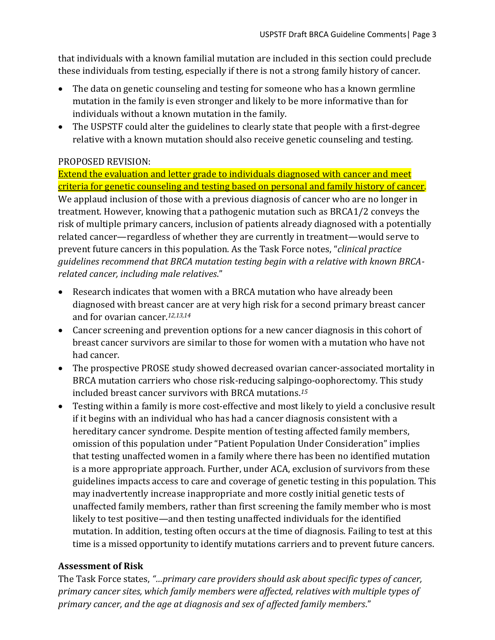that individuals with a known familial mutation are included in this section could preclude these individuals from testing, especially if there is not a strong family history of cancer.

- The data on genetic counseling and testing for someone who has a known germline mutation in the family is even stronger and likely to be more informative than for individuals without a known mutation in the family.
- The USPSTF could alter the guidelines to clearly state that people with a first-degree relative with a known mutation should also receive genetic counseling and testing.

### PROPOSED REVISION:

Extend the evaluation and letter grade to individuals diagnosed with cancer and meet criteria for genetic counseling and testing based on personal and family history of cancer. We applaud inclusion of those with a previous diagnosis of cancer who are no longer in treatment. However, knowing that a pathogenic mutation such as BRCA1/2 conveys the risk of multiple primary cancers, inclusion of patients already diagnosed with a potentially related cancer—regardless of whether they are currently in treatment—would serve to prevent future cancers in this population. As the Task Force notes, "*clinical practice guidelines recommend that BRCA mutation testing begin with a relative with known BRCArelated cancer, including male relatives*."

- Research indicates that women with a BRCA mutation who have already been diagnosed with breast cancer are at very high risk for a second primary breast cancer and for ovarian cancer.*1[2,1](http://www.sciencedirect.com/science/article/pii/S0090825804007772)3,14*
- Cancer screening and prevention options for a new cancer diagnosis in this cohort of breast cancer survivors are similar to those for women with a mutation who have not had cancer.
- The prospective PROSE study showed decreased ovarian cancer-associated mortality in BRCA mutation carriers who chose risk-reducing salpingo-oophorectomy. This study included breast cancer survivors with BRCA mutations.*<sup>15</sup>*
- Testing within a family is more cost-effective and most likely to yield a conclusive result if it begins with an individual who has had a cancer diagnosis consistent with a hereditary cancer syndrome. Despite mention of testing affected family members, omission of this population under "Patient Population Under Consideration" implies that testing unaffected women in a family where there has been no identified mutation is a more appropriate approach. Further, under ACA, exclusion of survivors from these guidelines impacts access to care and coverage of genetic testing in this population. This may inadvertently increase inappropriate and more costly initial genetic tests of unaffected family members, rather than first screening the family member who is most likely to test positive—and then testing unaffected individuals for the identified mutation. In addition, testing often occurs at the time of diagnosis. Failing to test at this time is a missed opportunity to identify mutations carriers and to prevent future cancers.

# **Assessment of Risk**

The Task Force states, *"…primary care providers should ask about specific types of cancer, primary cancer sites, which family members were affected, relatives with multiple types of primary cancer, and the age at diagnosis and sex of affected family members*."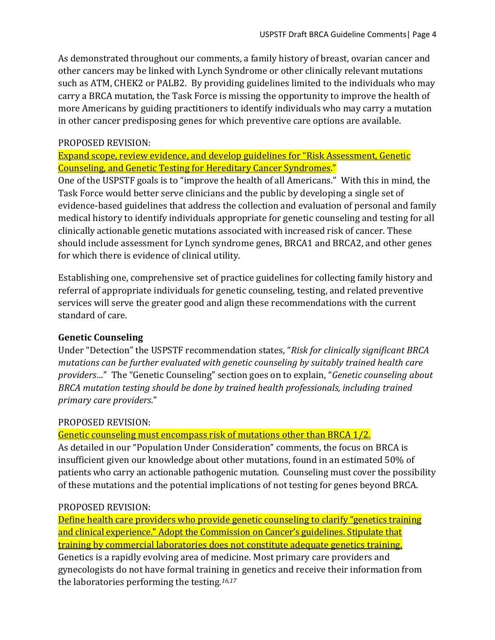As demonstrated throughout our comments, a family history of breast, ovarian cancer and other cancers may be linked with Lynch Syndrome or other clinically relevant mutations such as ATM, CHEK2 or PALB2. By providing guidelines limited to the individuals who may carry a BRCA mutation, the Task Force is missing the opportunity to improve the health of more Americans by guiding practitioners to identify individuals who may carry a mutation in other cancer predisposing genes for which preventive care options are available.

## PROPOSED REVISION:

Expand scope, review evidence, and develop guidelines for "Risk Assessment, Genetic Counseling, and Genetic Testing for Hereditary Cancer Syndromes."

One of the USPSTF goals is to "improve the health of all Americans." With this in mind, the Task Force would better serve clinicians and the public by developing a single set of evidence-based guidelines that address the collection and evaluation of personal and family medical history to identify individuals appropriate for genetic counseling and testing for all clinically actionable genetic mutations associated with increased risk of cancer. These should include assessment for Lynch syndrome genes, BRCA1 and BRCA2, and other genes for which there is evidence of clinical utility.

Establishing one, comprehensive set of practice guidelines for collecting family history and referral of appropriate individuals for genetic counseling, testing, and related preventive services will serve the greater good and align these recommendations with the current standard of care.

# **Genetic Counseling**

Under "Detection" the USPSTF recommendation states, "*Risk for clinically significant BRCA mutations can be further evaluated with genetic counseling by suitably trained health care providers…*" The "Genetic Counseling" section goes on to explain, "*Genetic counseling about BRCA mutation testing should be done by trained health professionals, including trained primary care providers*."

# PROPOSED REVISION:

# Genetic counseling must encompass risk of mutations other than BRCA 1/2.

As detailed in our "Population Under Consideration" comments, the focus on BRCA is insufficient given our knowledge about other mutations, found in an estimated 50% of patients who carry an actionable pathogenic mutation. Counseling must cover the possibility of these mutations and the potential implications of not testing for genes beyond BRCA.

# PROPOSED REVISION:

Define health care providers who provide genetic counseling to clarify "genetics training and clinical experience." Adopt the Commission on Cancer's guidelines. Stipulate that training by commercial laboratories does not constitute adequate genetics training. Genetics is a rapidly evolving area of medicine. Most primary care providers and gynecologists do not have formal training in genetics and receive their information from the laboratories performing the testing.*16,17*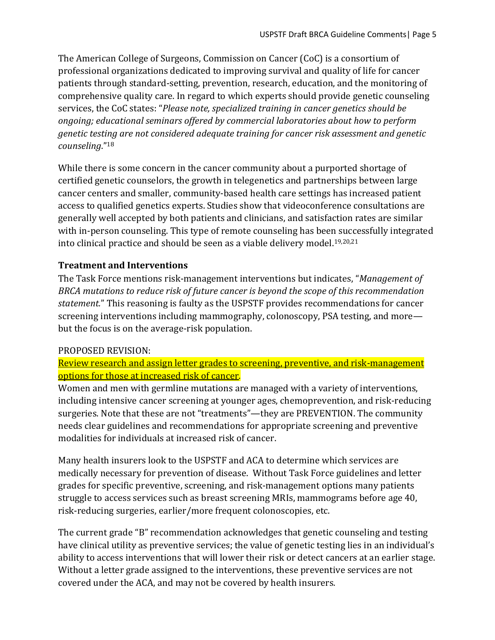The American College of Surgeons, Commission on Cancer (CoC) is a consortium of professional organizations dedicated to improving survival and quality of life for cancer patients through standard-setting, prevention, research, education, and the monitoring of comprehensive quality care. In regard to which experts should provide genetic counseling services, the CoC states: "*Please note, specialized training in cancer genetics should be ongoing; educational seminars offered by commercial laboratories about how to perform genetic testing are not considered adequate training for cancer risk assessment and genetic counseling*."<sup>18</sup>

While there is some concern in the cancer community about a purported shortage of certified genetic counselors, the growth in telegenetics and partnerships between large cancer centers and smaller, community-based health care settings has increased patient access to qualified genetics experts. Studies show that videoconference consultations are generally well accepted by both patients and clinicians, and satisfaction rates are similar with in-person counseling. This type of remote counseling has been successfully integrated into clinical practice and should be seen as a viable delivery model. 19,20,21

# **Treatment and Interventions**

The Task Force mentions risk-management interventions but indicates, "*Management of BRCA mutations to reduce risk of future cancer is beyond the scope of this recommendation statement.*" This reasoning is faulty as the USPSTF provides recommendations for cancer screening interventions including mammography, colonoscopy, PSA testing, and more but the focus is on the average-risk population.

# PROPOSED REVISION:

Review research and assign letter grades to screening, preventive, and risk-management options for those at increased risk of cancer.

Women and men with germline mutations are managed with a variety of interventions, including intensive cancer screening at younger ages, chemoprevention, and risk-reducing surgeries. Note that these are not "treatments"—they are PREVENTION. The community needs clear guidelines and recommendations for appropriate screening and preventive modalities for individuals at increased risk of cancer.

Many health insurers look to the USPSTF and ACA to determine which services are medically necessary for prevention of disease. Without Task Force guidelines and letter grades for specific preventive, screening, and risk-management options many patients struggle to access services such as breast screening MRIs, mammograms before age 40, risk-reducing surgeries, earlier/more frequent colonoscopies, etc.

The current grade "B" recommendation acknowledges that genetic counseling and testing have clinical utility as preventive services; the value of genetic testing lies in an individual's ability to access interventions that will lower their risk or detect cancers at an earlier stage. Without a letter grade assigned to the interventions, these preventive services are not covered under the ACA, and may not be covered by health insurers.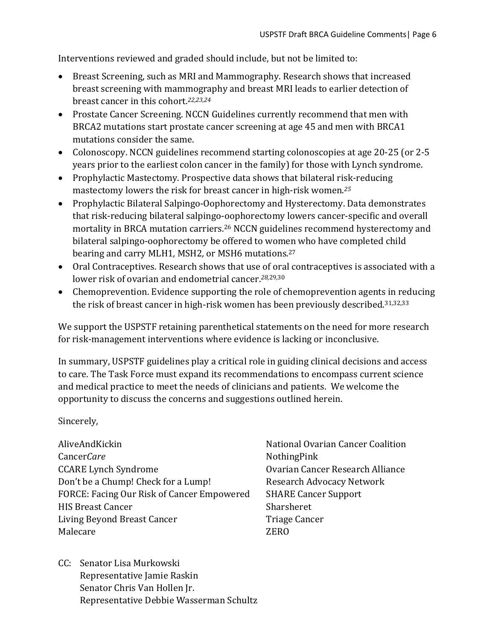Interventions reviewed and graded should include, but not be limited to:

- Breast Screening, such as MRI and Mammography. Research shows that increased breast screening with mammography and breast MRI leads to earlier detection of breast cancer in this cohort.*22,23,24*
- Prostate Cancer Screening. NCCN Guidelines currently recommend that men with BRCA2 mutations start prostate cancer screening at age 45 and men with BRCA1 mutations consider the same.
- Colonoscopy. NCCN guidelines recommend starting colonoscopies at age 20-25 (or 2-5 years prior to the earliest colon cancer in the family) for those with Lynch syndrome.
- Prophylactic Mastectomy. Prospective data shows that bilateral risk-reducing mastectomy lowers the risk for breast cancer in high-risk women. *25*
- Prophylactic Bilateral Salpingo-Oophorectomy and Hysterectomy. Data demonstrates that risk-reducing bilateral salpingo-oophorectomy lowers cancer-specific and overall mortality in BRCA mutation carriers.<sup>26</sup> NCCN guidelines recommend hysterectomy and bilateral salpingo-oophorectomy be offered to women who have completed child bearing and carry MLH1*,* MSH2*,* or MSH6 mutations. 27
- Oral Contraceptives. Research shows that use of oral contraceptives is associated with a lower risk of ovarian and endometrial cancer. *28*,29,30
- Chemoprevention. Evidence supporting the role of chemoprevention agents in reducing the risk of breast cancer in high-risk women has been previously described.<sup>31,32,33</sup>

We support the USPSTF retaining parenthetical statements on the need for more research for risk-management interventions where evidence is lacking or inconclusive.

In summary, USPSTF guidelines play a critical role in guiding clinical decisions and access to care. The Task Force must expand its recommendations to encompass current science and medical practice to meet the needs of clinicians and patients. We welcome the opportunity to discuss the concerns and suggestions outlined herein.

Sincerely,

AliveAndKickin Cancer*Care* CCARE Lynch Syndrome Don't be a Chump! Check for a Lump! FORCE: Facing Our Risk of Cancer Empowered HIS Breast Cancer Living Beyond Breast Cancer Malecare

- National Ovarian Cancer Coalition NothingPink Ovarian Cancer Research Alliance Research Advocacy Network SHARE Cancer Support Sharsheret Triage Cancer ZERO
- CC: Senator Lisa Murkowski Representative Jamie Raskin Senator Chris Van Hollen Jr. Representative Debbie Wasserman Schultz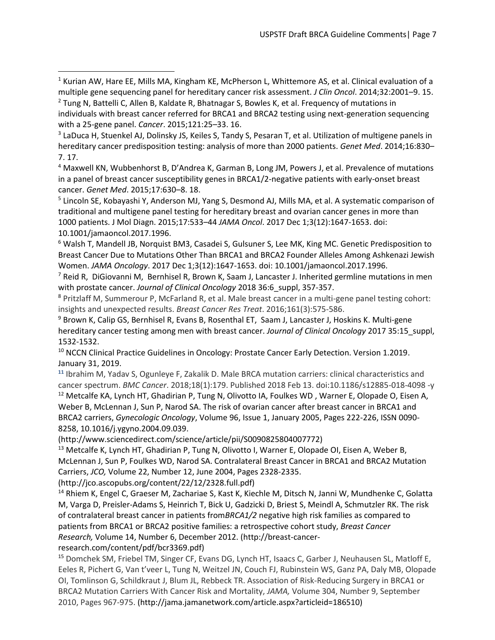<sup>1</sup> Kurian AW, Hare EE, Mills MA, Kingham KE, McPherson L, Whittemore AS, et al. Clinical evaluation of a multiple gene sequencing panel for hereditary cancer risk assessment. *J Clin Oncol*. 2014;32:2001–9. 15. <sup>2</sup> Tung N, Battelli C, Allen B, Kaldate R, Bhatnagar S, Bowles K, et al. Frequency of mutations in

<sup>3</sup> LaDuca H, Stuenkel AJ, Dolinsky JS, Keiles S, Tandy S, Pesaran T, et al. Utilization of multigene panels in hereditary cancer predisposition testing: analysis of more than 2000 patients. *Genet Med*. 2014;16:830– 7. 17.

<sup>4</sup> Maxwell KN, Wubbenhorst B, D'Andrea K, Garman B, Long JM, Powers J, et al. Prevalence of mutations in a panel of breast cancer susceptibility genes in BRCA1/2-negative patients with early-onset breast cancer. *Genet Med*. 2015;17:630–8. 18.

<sup>5</sup> Lincoln SE, Kobayashi Y, Anderson MJ, Yang S, Desmond AJ, Mills MA, et al. A systematic comparison of traditional and multigene panel testing for hereditary breast and ovarian cancer genes in more than 1000 patients. J Mol Diagn. 2015;17:533–44 *JAMA Oncol*. 2017 Dec 1;3(12):1647-1653. doi: 10.1001/jamaoncol.2017.1996.

<sup>6</sup> Walsh T, Mandell JB, Norquist BM3, Casadei S, Gulsuner S, Lee MK, King MC. Genetic Predisposition to Breast Cancer Due to Mutations Other Than BRCA1 and BRCA2 Founder Alleles Among Ashkenazi Jewish Women. *JAMA Oncology*. 2017 Dec 1;3(12):1647-1653. doi: 10.1001/jamaoncol.2017.1996.

<sup>7</sup> Reid R, DiGiovanni M, Bernhisel R, Brown K, Saam J, Lancaster J. Inherited germline mutations in men with prostate cancer. *Journal of Clinical Oncology* 2018 36:6 suppl, 357-357.

<sup>8</sup> Pritzlaff M, Summerour P, McFarland R, et al. Male breast cancer in a multi-gene panel testing cohort: insights and unexpected results. *Breast Cancer Res Treat*. 2016;161(3):575-586.

<sup>9</sup> Brown K, Calip GS, Bernhisel R, Evans B, Rosenthal ET, Saam J, Lancaster J, Hoskins K. Multi-gene hereditary cancer testing among men with breast cancer. *Journal of Clinical Oncology* 2017 35:15\_suppl, 1532-1532.

<sup>10</sup> NCCN Clinical Practice Guidelines in Oncology: Prostate Cancer Early Detection. Version 1.2019. January 31, 2019.

**<sup>11</sup>** Ibrahim M, Yadav S, Ogunleye F, Zakalik D. Male BRCA mutation carriers: clinical characteristics and cancer spectrum. *BMC Cancer*. 2018;18(1):179. Published 2018 Feb 13. doi:10.1186/s12885-018-4098 -y <sup>12</sup> Metcalfe KA, Lynch HT, Ghadirian P, Tung N, Olivotto IA, Foulkes WD, Warner E, Olopade O, Eisen A, Weber B, McLennan J, Sun P, Narod SA. The risk of ovarian cancer after breast cancer in BRCA1 and BRCA2 carriers, *Gynecologic Oncology*, Volume 96, Issue 1, January 2005, Pages 222-226, ISSN 0090- 8258, 10.1016/j.ygyno.2004.09.039.

(http://www.sciencedirect.com/science/article/pii/S0090825804007772)

<sup>13</sup> Metcalfe K, Lynch HT, Ghadirian P, Tung N, Olivotto I, Warner E, Olopade OI, Eisen A, Weber B, McLennan J, Sun P, Foulkes WD, Narod SA. Contralateral Breast Cancer in BRCA1 and BRCA2 Mutation Carriers, *JCO,* Volume 22, Number 12, June 2004, Pages 2328-2335.

(http://jco.ascopubs.org/content/22/12/2328.full.pdf)

<sup>14</sup> Rhiem K, Engel C, Graeser M, Zachariae S, Kast K, Kiechle M, Ditsch N, Janni W, Mundhenke C, Golatta M, Varga D, Preisler-Adams S, Heinrich T, Bick U, Gadzicki D, Briest S, Meindl A, Schmutzler RK. The risk of contralateral breast cancer in patients from*BRCA1/2* negative high risk families as compared to patients from BRCA1 or BRCA2 positive families: a retrospective cohort study, *Breast Cancer Research,* Volume 14, Number 6, December 2012. (http://breast-cancer-

#### research.com/content/pdf/bcr3369.pdf)

l

<sup>15</sup> Domchek SM, Friebel TM, Singer CF, Evans DG, Lynch HT, Isaacs C, Garber J, Neuhausen SL, Matloff E, Eeles R, Pichert G, Van t'veer L, Tung N, Weitzel JN, Couch FJ, Rubinstein WS, Ganz PA, Daly MB, Olopade OI, Tomlinson G, Schildkraut J, Blum JL, Rebbeck TR. Association of Risk-Reducing Surgery in BRCA1 or BRCA2 Mutation Carriers With Cancer Risk and Mortality, *JAMA,* Volume 304, Number 9, September 2010, Pages 967-975. (http://jama.jamanetwork.com/article.aspx?articleid=186510)

individuals with breast cancer referred for BRCA1 and BRCA2 testing using next-generation sequencing with a 25-gene panel. *Cancer*. 2015;121:25–33. 16.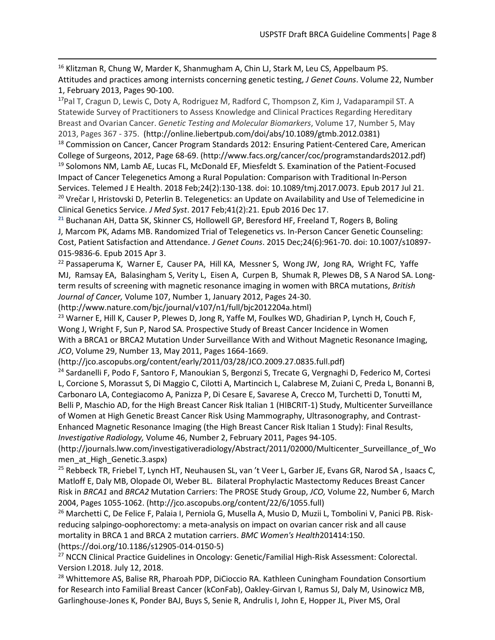<sup>16</sup> Klitzman R, Chung W, [Marder K,](http://www.ncbi.nlm.nih.gov/pubmed?term=Marder%20K%5BAuthor%5D&cauthor=true&cauthor_uid=22585186) Shanmugham A, Chin LJ, [Stark M,](http://www.ncbi.nlm.nih.gov/pubmed?term=Stark%20M%5BAuthor%5D&cauthor=true&cauthor_uid=22585186) Leu CS, Appelbaum PS. Attitudes and practices among internists concerning genetic testing, *J Genet Couns*. Volume 22, Number 1, February 2013, Pages 90-100.

<sup>17</sup>Pal T, Cragun D, Lewis C, Doty A, Rodriguez M, Radford C, Thompson Z, Kim J, Vadaparampil ST. A Statewide Survey of Practitioners to Assess Knowledge and Clinical Practices Regarding Hereditary Breast and Ovarian Cancer. *Genetic Testing and Molecular Biomarkers*, Volume 17, Number 5, May 2013, Pages 367 - 375. (http://online.liebertpub.com/doi/abs/10.1089/gtmb.2012.0381)

<sup>18</sup> Commission on Cancer, Cancer Program Standards 2012: Ensuring Patient-Centered Care, American College of Surgeons, 2012, Page 68-69. (http://www.facs.org/cancer/coc/programstandards2012.pdf) <sup>19</sup> Solomons NM, Lamb AE, Lucas FL, McDonald EF, Miesfeldt S. Examination of the Patient-Focused Impact of Cancer Telegenetics Among a Rural Population: Comparison with Traditional In-Person Services. Telemed J E Health. 2018 Feb;24(2):130-138. doi: 10.1089/tmj.2017.0073. Epub 2017 Jul 21. <sup>20</sup> Vrečar I, Hristovski D, Peterlin B. Telegenetics: an Update on Availability and Use of Telemedicine in Clinical Genetics Service. *J Med Syst*. 2017 Feb;41(2):21. Epub 2016 Dec 17.

**<sup>21</sup>** Buchanan AH, Datta SK, Skinner CS, Hollowell GP, Beresford HF, Freeland T, Rogers B, Boling J, Marcom PK, Adams MB. Randomized Trial of Telegenetics vs. In-Person Cancer Genetic Counseling: Cost, Patient Satisfaction and Attendance. *J Genet Couns*. 2015 Dec;24(6):961-70. doi: 10.1007/s10897- 015-9836-6. Epub 2015 Apr 3.

 $22$  Passaperuma K, Warner E, Causer PA, Hill KA, Messner S, Wong JW, Jong RA, Wright FC, Yaffe MJ, Ramsay EA, Balasingham S, Verity L, Eisen A, Curpen B, Shumak R, Plewes DB, S A Narod SA. Longterm results of screening with magnetic resonance imaging in women with BRCA mutations, *British Journal of Cancer,* Volume 107, Number 1, January 2012, Pages 24-30.

(http://www.nature.com/bjc/journal/v107/n1/full/bjc2012204a.html)

 $\overline{a}$ 

<sup>23</sup> Warner E, Hill K, Causer P, Plewes D, Jong R, Yaffe M, Foulkes WD, Ghadirian P, Lynch H, Couch F, Wong J, Wright F, Sun P, Narod SA. Prospective Study of Breast Cancer Incidence in Women With a BRCA1 or BRCA2 Mutation Under Surveillance With and Without Magnetic Resonance Imaging, *JCO*, Volume 29, Number 13, May 2011, Pages 1664-1669.

(http://jco.ascopubs.org/content/early/2011/03/28/JCO.2009.27.0835.full.pdf)

<sup>24</sup> Sardanelli F, Podo F, Santoro F, Manoukian S, Bergonzi S, Trecate G, Vergnaghi D, Federico M, Cortesi L, Corcione S, Morassut S, Di Maggio C, Cilotti A, Martincich L, Calabrese M, Zuiani C, Preda L, Bonanni B, Carbonaro LA, Contegiacomo A, Panizza P, Di Cesare E, Savarese A, Crecco M, Turchetti D, Tonutti M, Belli P, Maschio AD, for the High Breast Cancer Risk Italian 1 (HIBCRIT-1) Study, Multicenter Surveillance of Women at High Genetic Breast Cancer Risk Using Mammography, Ultrasonography, and Contrast-Enhanced Magnetic Resonance Imaging (the High Breast Cancer Risk Italian 1 Study): Final Results, *Investigative Radiology,* Volume 46, Number 2, February 2011, Pages 94-105.

(http://journals.lww.com/investigativeradiology/Abstract/2011/02000/Multicenter\_Surveillance\_of\_Wo men at High Genetic.3.aspx)

<sup>25</sup> Rebbeck TR, Friebel T, Lynch HT, Neuhausen SL, van 't Veer L, Garber JE, Evans GR, Narod SA, Isaacs C, Matloff E, Daly MB, Olopade OI, Weber BL. Bilateral Prophylactic Mastectomy Reduces Breast Cancer Risk in *BRCA1* and *BRCA2* Mutation Carriers: The PROSE Study Group, *JCO,* Volume 22, Number 6, March 2004, Pages 1055-1062. (http://jco.ascopubs.org/content/22/6/1055.full)

<sup>26</sup> Marchetti C, De Felice F, Palaia I, Perniola G, Musella A, Musio D, Muzii L, Tombolini V, Panici PB. Riskreducing salpingo-oophorectomy: a meta-analysis on impact on ovarian cancer risk and all cause mortality in BRCA 1 and BRCA 2 mutation carriers. *BMC Women's Health*201414:150. (https://doi.org/10.1186/s12905-014-0150-5)

<sup>27</sup> NCCN Clinical Practice Guidelines in Oncology: Genetic/Familial High-Risk Assessment: Colorectal. Version I.2018. July 12, 2018.

<sup>28</sup> Whittemore AS, Balise RR, Pharoah PDP, DiCioccio RA. Kathleen Cuningham Foundation Consortium for Research into Familial Breast Cancer (kConFab), Oakley-Girvan I, Ramus SJ, Daly M, Usinowicz MB, Garlinghouse-Jones K, Ponder BAJ, Buys S, Senie R, Andrulis I, John E, Hopper JL, Piver MS, Oral